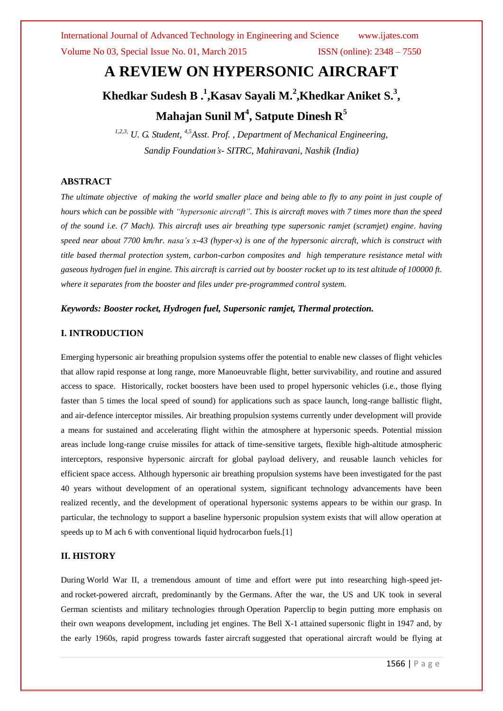International Journal of Advanced Technology in Engineering and Science www.ijates.com Volume No 03, Special Issue No. 01, March 2015 ISSN (online): 2348 – 7550

# **A REVIEW ON HYPERSONIC AIRCRAFT**

# **Khedkar Sudesh B.**<sup>1</sup>,Kasav Sayali M.<sup>2</sup>,Khedkar Aniket S.<sup>3</sup>, **Mahajan Sunil M<sup>4</sup> , Satpute Dinesh R<sup>5</sup>**

*1,2,3, U. G. Student, 4,5Asst. Prof. , Department of Mechanical Engineering, Sandip Foundation's- SITRC, Mahiravani, Nashik (India)*

### **ABSTRACT**

*The ultimate objective of making the world smaller place and being able to fly to any point in just couple of hours which can be possible with "hypersonic aircraft". This is aircraft moves with 7 times more than the speed of the sound i.e. (7 Mach). This aircraft uses air breathing type supersonic ramjet (scramjet) engine. having speed near about 7700 km/hr. nasa's x-43 (hyper-x) is one of the hypersonic aircraft, which is construct with title based thermal protection system, carbon-carbon composites and high temperature resistance metal with gaseous hydrogen fuel in engine. This aircraft is carried out by booster rocket up to its test altitude of 100000 ft. where it separates from the booster and files under pre-programmed control system.*

#### *Keywords: Booster rocket, Hydrogen fuel, Supersonic ramjet, Thermal protection.*

#### **I. INTRODUCTION**

Emerging hypersonic air breathing propulsion systems offer the potential to enable new classes of flight vehicles that allow rapid response at long range, more Manoeuvrable flight, better survivability, and routine and assured access to space. Historically, rocket boosters have been used to propel hypersonic vehicles (i.e., those flying faster than 5 times the local speed of sound) for applications such as space launch, long-range ballistic flight, and air-defence interceptor missiles. Air breathing propulsion systems currently under development will provide a means for sustained and accelerating flight within the atmosphere at hypersonic speeds. Potential mission areas include long-range cruise missiles for attack of time-sensitive targets, flexible high-altitude atmospheric interceptors, responsive hypersonic aircraft for global payload delivery, and reusable launch vehicles for efficient space access. Although hypersonic air breathing propulsion systems have been investigated for the past 40 years without development of an operational system, significant technology advancements have been realized recently, and the development of operational hypersonic systems appears to be within our grasp. In particular, the technology to support a baseline hypersonic propulsion system exists that will allow operation at speeds up to M ach 6 with conventional liquid hydrocarbon fuels.[1]

#### **II. HISTORY**

During World War II, a tremendous amount of time and effort were put into researching high-speed jetand rocket-powered aircraft, predominantly by the Germans. After the war, the US and UK took in several German scientists and military technologies through Operation Paperclip to begin putting more emphasis on their own weapons development, including jet engines. The Bell X-1 attained supersonic flight in 1947 and, by the early 1960s, rapid progress towards faster aircraft suggested that operational aircraft would be flying at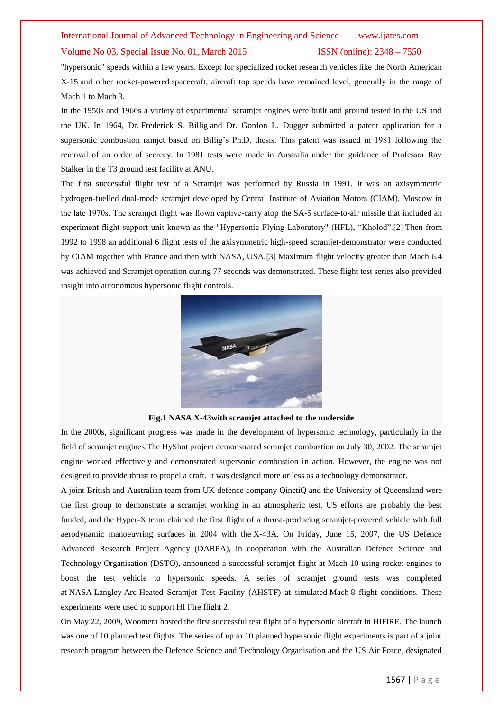## International Journal of Advanced Technology in Engineering and Science www.ijates.com Volume No 03, Special Issue No. 01, March 2015 ISSN (online): 2348 – 7550

"hypersonic" speeds within a few years. Except for specialized rocket research vehicles like the North American X-15 and other rocket-powered spacecraft, aircraft top speeds have remained level, generally in the range of Mach 1 to Mach 3.

In the 1950s and 1960s a variety of experimental scramjet engines were built and ground tested in the US and the UK. In 1964, Dr. Frederick S. Billig and Dr. Gordon L. Dugger submitted a patent application for a supersonic combustion ramjet based on Billig's Ph.D. thesis. This patent was issued in 1981 following the removal of an order of secrecy. In 1981 tests were made in Australia under the guidance of Professor Ray Stalker in the T3 ground test facility at ANU.

The first successful flight test of a Scramjet was performed by Russia in 1991. It was an axisymmetric hydrogen-fuelled dual-mode scramjet developed by Central Institute of Aviation Motors (CIAM), Moscow in the late 1970s. The scramjet flight was flown captive-carry atop the SA-5 surface-to-air missile that included an experiment flight support unit known as the "Hypersonic Flying Laboratory" (HFL), "Kholod".[2] Then from 1992 to 1998 an additional 6 flight tests of the axisymmetric high-speed scramjet-demonstrator were conducted by CIAM together with France and then with NASA, USA.[3] Maximum flight velocity greater than Mach 6.4 was achieved and Scramjet operation during 77 seconds was demonstrated. These flight test series also provided insight into autonomous hypersonic flight controls.



**Fig.1 NASA X-43with scramjet attached to the underside**

In the 2000s, significant progress was made in the development of hypersonic technology, particularly in the field of scramjet engines.The HyShot project demonstrated scramjet combustion on July 30, 2002. The scramjet engine worked effectively and demonstrated supersonic combustion in action. However, the engine was not designed to provide thrust to propel a craft. It was designed more or less as a technology demonstrator.

A joint British and Australian team from UK defence company QinetiQ and the University of Queensland were the first group to demonstrate a scramjet working in an atmospheric test. US efforts are probably the best funded, and the Hyper-X team claimed the first flight of a thrust-producing scramjet-powered vehicle with full aerodynamic manoeuvring surfaces in 2004 with the X-43A. On Friday, June 15, 2007, the US Defence Advanced Research Project Agency (DARPA), in cooperation with the Australian Defence Science and Technology Organisation (DSTO), announced a successful scramjet flight at Mach 10 using rocket engines to boost the test vehicle to hypersonic speeds. A series of scramjet ground tests was completed at NASA Langley Arc-Heated Scramjet Test Facility (AHSTF) at simulated Mach 8 flight conditions. These experiments were used to support HI Fire flight 2.

On May 22, 2009, Woomera hosted the first successful test flight of a hypersonic aircraft in HIFiRE. The launch was one of 10 planned test flights. The series of up to 10 planned hypersonic flight experiments is part of a joint research program between the Defence Science and Technology Organisation and the US Air Force, designated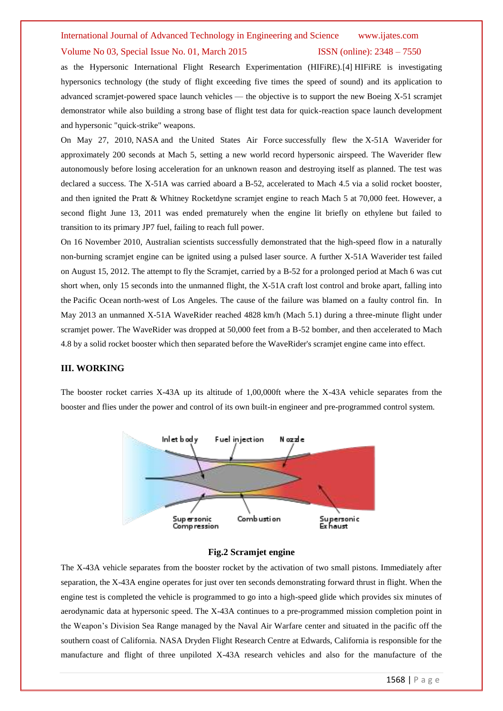## International Journal of Advanced Technology in Engineering and Science www.ijates.com

#### Volume No 03, Special Issue No. 01, March 2015 ISSN (online): 2348 – 7550

as the Hypersonic International Flight Research Experimentation (HIFiRE).[4] HIFiRE is investigating hypersonics technology (the study of flight exceeding five times the speed of sound) and its application to advanced scramjet-powered space launch vehicles — the objective is to support the new Boeing X-51 scramjet demonstrator while also building a strong base of flight test data for quick-reaction space launch development and hypersonic "quick-strike" weapons.

On May 27, 2010, NASA and the United States Air Force successfully flew the X-51A Waverider for approximately 200 seconds at Mach 5, setting a new world record hypersonic airspeed. The Waverider flew autonomously before losing acceleration for an unknown reason and destroying itself as planned. The test was declared a success. The X-51A was carried aboard a B-52, accelerated to Mach 4.5 via a solid rocket booster, and then ignited the Pratt & Whitney Rocketdyne scramjet engine to reach Mach 5 at 70,000 feet. However, a second flight June 13, 2011 was ended prematurely when the engine lit briefly on ethylene but failed to transition to its primary JP7 fuel, failing to reach full power.

On 16 November 2010, Australian scientists successfully demonstrated that the high-speed flow in a naturally non-burning scramjet engine can be ignited using a pulsed laser source. A further X-51A Waverider test failed on August 15, 2012. The attempt to fly the Scramjet, carried by a B-52 for a prolonged period at Mach 6 was cut short when, only 15 seconds into the unmanned flight, the X-51A craft lost control and broke apart, falling into the Pacific Ocean north-west of Los Angeles. The cause of the failure was blamed on a faulty control fin. In May 2013 an unmanned X-51A WaveRider reached 4828 km/h (Mach 5.1) during a three-minute flight under scramjet power. The WaveRider was dropped at 50,000 feet from a B-52 bomber, and then accelerated to Mach 4.8 by a solid rocket booster which then separated before the WaveRider's scramjet engine came into effect.

#### **III. WORKING**

The booster rocket carries X-43A up its altitude of 1,00,000ft where the X-43A vehicle separates from the booster and flies under the power and control of its own built-in engineer and pre-programmed control system.



### **Fig.2 Scramjet engine**

The X-43A vehicle separates from the booster rocket by the activation of two small pistons. Immediately after separation, the X-43A engine operates for just over ten seconds demonstrating forward thrust in flight. When the engine test is completed the vehicle is programmed to go into a high-speed glide which provides six minutes of aerodynamic data at hypersonic speed. The X-43A continues to a pre-programmed mission completion point in the Weapon's Division Sea Range managed by the Naval Air Warfare center and situated in the pacific off the southern coast of California. NASA Dryden Flight Research Centre at Edwards, California is responsible for the manufacture and flight of three unpiloted X-43A research vehicles and also for the manufacture of the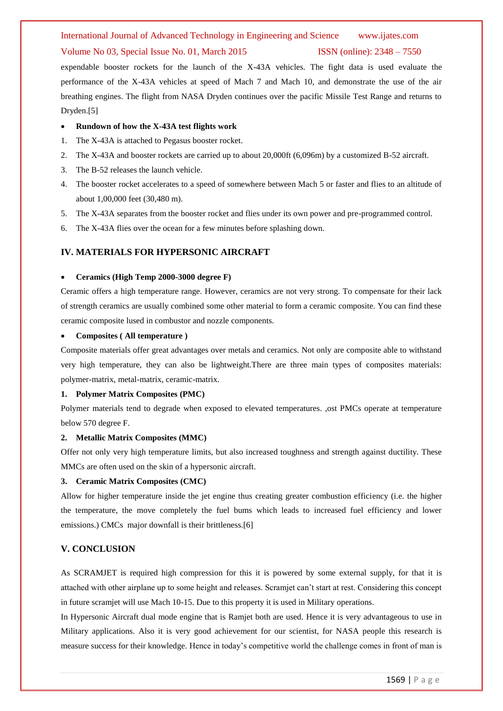#### International Journal of Advanced Technology in Engineering and Science www.ijates.com

#### Volume No 03, Special Issue No. 01, March 2015 ISSN (online): 2348 – 7550

expendable booster rockets for the launch of the X-43A vehicles. The fight data is used evaluate the performance of the X-43A vehicles at speed of Mach 7 and Mach 10, and demonstrate the use of the air breathing engines. The flight from NASA Dryden continues over the pacific Missile Test Range and returns to Dryden.[5]

#### **Rundown of how the X-43A test flights work**

- 1. The X-43A is attached to Pegasus booster rocket.
- 2. The X-43A and booster rockets are carried up to about 20,000ft (6,096m) by a customized B-52 aircraft.
- 3. The B-52 releases the launch vehicle.
- 4. The booster rocket accelerates to a speed of somewhere between Mach 5 or faster and flies to an altitude of about 1,00,000 feet (30,480 m).
- 5. The X-43A separates from the booster rocket and flies under its own power and pre-programmed control.
- 6. The X-43A flies over the ocean for a few minutes before splashing down.

#### **IV. MATERIALS FOR HYPERSONIC AIRCRAFT**

#### **Ceramics (High Temp 2000-3000 degree F)**

Ceramic offers a high temperature range. However, ceramics are not very strong. To compensate for their lack of strength ceramics are usually combined some other material to form a ceramic composite. You can find these ceramic composite lused in combustor and nozzle components.

#### **Composites ( All temperature )**

Composite materials offer great advantages over metals and ceramics. Not only are composite able to withstand very high temperature, they can also be lightweight.There are three main types of composites materials: polymer-matrix, metal-matrix, ceramic-matrix.

#### **1. Polymer Matrix Composites (PMC)**

Polymer materials tend to degrade when exposed to elevated temperatures. ,ost PMCs operate at temperature below 570 degree F.

#### **2. Metallic Matrix Composites (MMC)**

Offer not only very high temperature limits, but also increased toughness and strength against ductility. These MMCs are often used on the skin of a hypersonic aircraft.

#### **3. Ceramic Matrix Composites (CMC)**

Allow for higher temperature inside the jet engine thus creating greater combustion efficiency (i.e. the higher the temperature, the move completely the fuel bums which leads to increased fuel efficiency and lower emissions.) CMCs major downfall is their brittleness.[6]

#### **V. CONCLUSION**

As SCRAMJET is required high compression for this it is powered by some external supply, for that it is attached with other airplane up to some height and releases. Scramjet can't start at rest. Considering this concept in future scramjet will use Mach 10-15. Due to this property it is used in Military operations.

In Hypersonic Aircraft dual mode engine that is Ramjet both are used. Hence it is very advantageous to use in Military applications. Also it is very good achievement for our scientist, for NASA people this research is measure success for their knowledge. Hence in today's competitive world the challenge comes in front of man is